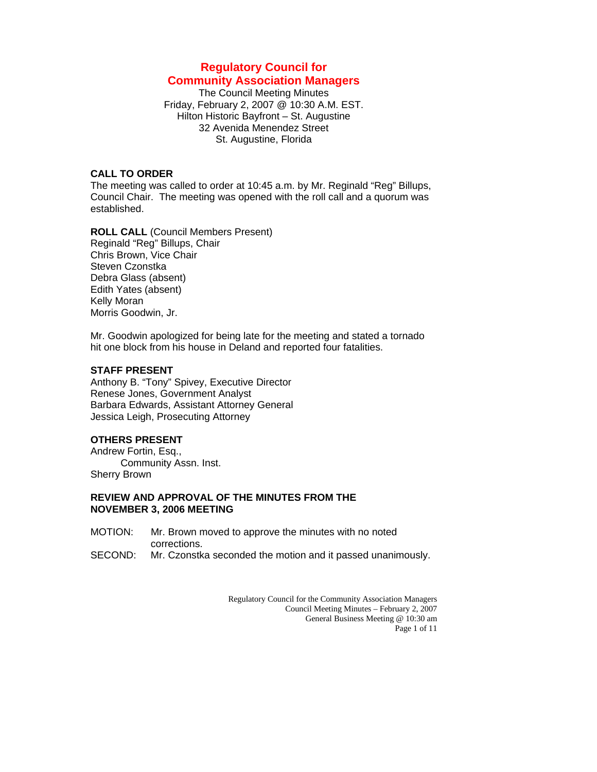# **Regulatory Council for Community Association Managers**

The Council Meeting Minutes Friday, February 2, 2007 @ 10:30 A.M. EST. Hilton Historic Bayfront – St. Augustine 32 Avenida Menendez Street St. Augustine, Florida

# **CALL TO ORDER**

The meeting was called to order at 10:45 a.m. by Mr. Reginald "Reg" Billups, Council Chair. The meeting was opened with the roll call and a quorum was established.

**ROLL CALL** (Council Members Present) Reginald "Reg" Billups, Chair Chris Brown, Vice Chair Steven Czonstka Debra Glass (absent) Edith Yates (absent) Kelly Moran Morris Goodwin, Jr.

Mr. Goodwin apologized for being late for the meeting and stated a tornado hit one block from his house in Deland and reported four fatalities.

# **STAFF PRESENT**

Anthony B. "Tony" Spivey, Executive Director Renese Jones, Government Analyst Barbara Edwards, Assistant Attorney General Jessica Leigh, Prosecuting Attorney

# **OTHERS PRESENT**

Andrew Fortin, Esq., Community Assn. Inst. Sherry Brown

## **REVIEW AND APPROVAL OF THE MINUTES FROM THE NOVEMBER 3, 2006 MEETING**

- MOTION: Mr. Brown moved to approve the minutes with no noted corrections.
- SECOND: Mr. Czonstka seconded the motion and it passed unanimously.

Regulatory Council for the Community Association Managers Council Meeting Minutes – February 2, 2007 General Business Meeting @ 10:30 am Page 1 of 11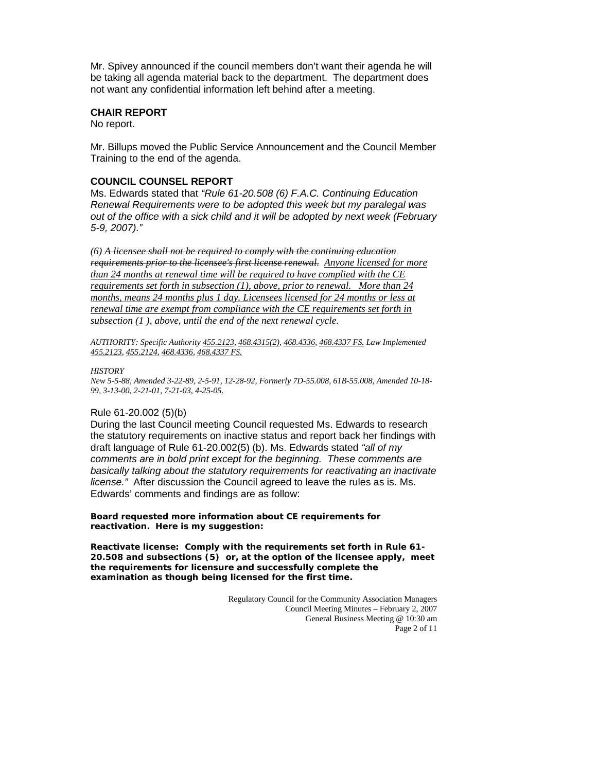Mr. Spivey announced if the council members don't want their agenda he will be taking all agenda material back to the department. The department does not want any confidential information left behind after a meeting.

# **CHAIR REPORT**

No report.

Mr. Billups moved the Public Service Announcement and the Council Member Training to the end of the agenda.

# **COUNCIL COUNSEL REPORT**

Ms. Edwards stated that *"Rule 61-20.508 (6) F.A.C. Continuing Education Renewal Requirements were to be adopted this week but my paralegal was out of the office with a sick child and it will be adopted by next week (February 5-9, 2007)."* 

*(6) A licensee shall not be required to comply with the continuing education requirements prior to the licensee's first license renewal. Anyone licensed for more than 24 months at renewal time will be required to have complied with the CE requirements set forth in subsection (1), above, prior to renewal. More than 24 months, means 24 months plus 1 day. Licensees licensed for 24 months or less at renewal time are exempt from compliance with the CE requirements set forth in subsection (1 ), above, until the end of the next renewal cycle.*

*AUTHORITY: Specific Authority [455.2123](http://www.lexis.com/research/buttonTFLink?_m=2ae11875a46b130ef860aaa9d0302803&_xfercite=%3ccite%20cc%3d%22USA%22%3e%3c%21%5bCDATA%5b61-20.508%2c%20F.A.C.%5d%5d%3e%3c%2fcite%3e&_butType=4&_butStat=0&_butNum=3&_butInline=1&_butinfo=FLCODE%20455.2123&_fmtstr=FULL&docnum=1&_startdoc=1&wchp=dGLbVlb-zSkAA&_md5=e96a09bf15e1c46c53b6b5dd4ed56654), [468.4315\(2\),](http://www.lexis.com/research/buttonTFLink?_m=2ae11875a46b130ef860aaa9d0302803&_xfercite=%3ccite%20cc%3d%22USA%22%3e%3c%21%5bCDATA%5b61-20.508%2c%20F.A.C.%5d%5d%3e%3c%2fcite%3e&_butType=4&_butStat=0&_butNum=4&_butInline=1&_butinfo=FLCODE%20468.4315&_fmtstr=FULL&docnum=1&_startdoc=1&wchp=dGLbVlb-zSkAA&_md5=5229cd3fe66ed2b27ae567154765b8ac) [468.4336](http://www.lexis.com/research/buttonTFLink?_m=2ae11875a46b130ef860aaa9d0302803&_xfercite=%3ccite%20cc%3d%22USA%22%3e%3c%21%5bCDATA%5b61-20.508%2c%20F.A.C.%5d%5d%3e%3c%2fcite%3e&_butType=4&_butStat=0&_butNum=5&_butInline=1&_butinfo=FLCODE%20468.4336&_fmtstr=FULL&docnum=1&_startdoc=1&wchp=dGLbVlb-zSkAA&_md5=c20fdb57e6a0a6de7068d031daab72e0), [468.4337 FS.](http://www.lexis.com/research/buttonTFLink?_m=2ae11875a46b130ef860aaa9d0302803&_xfercite=%3ccite%20cc%3d%22USA%22%3e%3c%21%5bCDATA%5b61-20.508%2c%20F.A.C.%5d%5d%3e%3c%2fcite%3e&_butType=4&_butStat=0&_butNum=6&_butInline=1&_butinfo=FLCODE%20468.4337&_fmtstr=FULL&docnum=1&_startdoc=1&wchp=dGLbVlb-zSkAA&_md5=03d4aacb4f3888179566823668813f27) Law Implemented [455.2123](http://www.lexis.com/research/buttonTFLink?_m=2ae11875a46b130ef860aaa9d0302803&_xfercite=%3ccite%20cc%3d%22USA%22%3e%3c%21%5bCDATA%5b61-20.508%2c%20F.A.C.%5d%5d%3e%3c%2fcite%3e&_butType=4&_butStat=0&_butNum=7&_butInline=1&_butinfo=FLCODE%20455.2123&_fmtstr=FULL&docnum=1&_startdoc=1&wchp=dGLbVlb-zSkAA&_md5=6051482db0382aa258cb7c3b6fe92f00), [455.2124,](http://www.lexis.com/research/buttonTFLink?_m=2ae11875a46b130ef860aaa9d0302803&_xfercite=%3ccite%20cc%3d%22USA%22%3e%3c%21%5bCDATA%5b61-20.508%2c%20F.A.C.%5d%5d%3e%3c%2fcite%3e&_butType=4&_butStat=0&_butNum=8&_butInline=1&_butinfo=FLCODE%20455.2124&_fmtstr=FULL&docnum=1&_startdoc=1&wchp=dGLbVlb-zSkAA&_md5=667009ffebd061615e5c6c8e63a5e2f2) [468.4336](http://www.lexis.com/research/buttonTFLink?_m=2ae11875a46b130ef860aaa9d0302803&_xfercite=%3ccite%20cc%3d%22USA%22%3e%3c%21%5bCDATA%5b61-20.508%2c%20F.A.C.%5d%5d%3e%3c%2fcite%3e&_butType=4&_butStat=0&_butNum=9&_butInline=1&_butinfo=FLCODE%20468.4336&_fmtstr=FULL&docnum=1&_startdoc=1&wchp=dGLbVlb-zSkAA&_md5=7a8e547cc621cb51e0b58feac3513329), [468.4337 FS.](http://www.lexis.com/research/buttonTFLink?_m=2ae11875a46b130ef860aaa9d0302803&_xfercite=%3ccite%20cc%3d%22USA%22%3e%3c%21%5bCDATA%5b61-20.508%2c%20F.A.C.%5d%5d%3e%3c%2fcite%3e&_butType=4&_butStat=0&_butNum=10&_butInline=1&_butinfo=FLCODE%20468.4337&_fmtstr=FULL&docnum=1&_startdoc=1&wchp=dGLbVlb-zSkAA&_md5=f1c0d7ec9879b646d4edfd127eda2ec7)*

#### *HISTORY*

*New 5-5-88, Amended 3-22-89, 2-5-91, 12-28-92, Formerly 7D-55.008, 61B-55.008, Amended 10-18- 99, 3-13-00, 2-21-01, 7-21-03, 4-25-05.*

### Rule 61-20.002 (5)(b)

During the last Council meeting Council requested Ms. Edwards to research the statutory requirements on inactive status and report back her findings with draft language of Rule 61-20.002(5) (b). Ms. Edwards stated *"all of my comments are in bold print except for the beginning. These comments are basically talking about the statutory requirements for reactivating an inactivate license."* After discussion the Council agreed to leave the rules as is. Ms. Edwards' comments and findings are as follow:

**Board requested more information about CE requirements for reactivation. Here is my suggestion:** 

**Reactivate license: Comply with the requirements set forth in Rule 61- 20.508 and subsections (5) or, at the option of the licensee apply, meet the requirements for licensure and successfully complete the examination as though being licensed for the first time.** 

> Regulatory Council for the Community Association Managers Council Meeting Minutes – February 2, 2007 General Business Meeting @ 10:30 am Page 2 of 11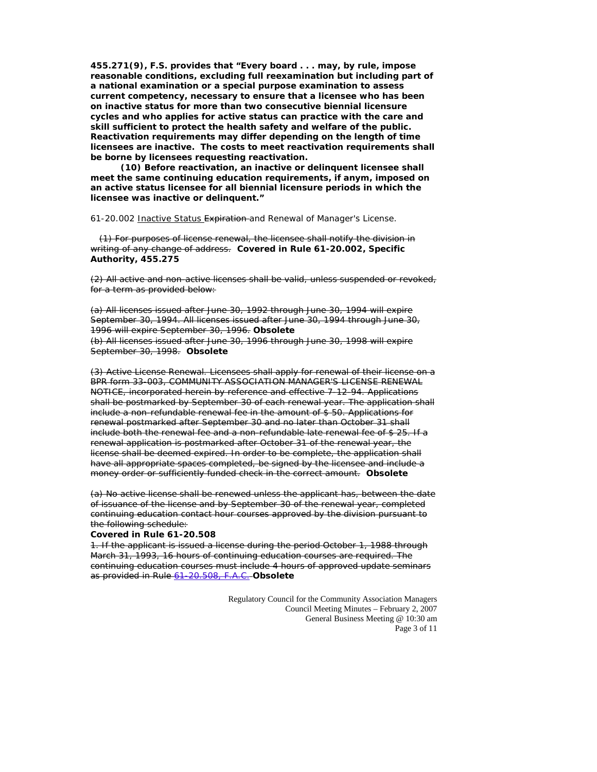**455.271(9), F.S. provides that "Every board . . . may, by rule, impose reasonable conditions, excluding full reexamination but including part of a national examination or a special purpose examination to assess current competency, necessary to ensure that a licensee who has been on inactive status for more than two consecutive biennial licensure cycles and who applies for active status can practice with the care and skill sufficient to protect the health safety and welfare of the public. Reactivation requirements may differ depending on the length of time licensees are inactive. The costs to meet reactivation requirements shall be borne by licensees requesting reactivation.** 

 **(10) Before reactivation, an inactive or delinquent licensee shall meet the same continuing education requirements, if anym, imposed on an active status licensee for all biennial licensure periods in which the licensee was inactive or delinquent."** 

61-20.002 Inactive Status Expiration and Renewal of Manager's License.

 (1) For purposes of license renewal, the licensee shall notify the division in writing of any change of address. **Covered in Rule 61-20.002, Specific Authority, 455.275**

(2) All active and non-active licenses shall be valid, unless suspended or revoked, for a term as provided below:

(a) All licenses issued after June 30, 1992 through June 30, 1994 will expire September 30, 1994. All licenses issued after June 30, 1994 through June 30, 1996 will expire September 30, 1996. **Obsolete** 

(b) All licenses issued after June 30, 1996 through June 30, 1998 will expire September 30, 1998. **Obsolete**

(3) Active License Renewal. Licensees shall apply for renewal of their license on a BPR form 33-003, COMMUNITY ASSOCIATION MANAGER'S LICENSE RENEWAL NOTICE, incorporated herein by reference and effective 7-12-94. Applications shall be postmarked by September 30 of each renewal year. The application shall include a non-refundable renewal fee in the amount of \$50. Applications for renewal postmarked after September 30 and no later than October 31 shall include both the renewal fee and a non-refundable late renewal fee of \$ 25. If a renewal application is postmarked after October 31 of the renewal year, the license shall be deemed expired. In order to be complete, the application shall have all appropriate spaces completed, be signed by the licensee and include a money order or sufficiently funded check in the correct amount. **Obsolete**

(a) No active license shall be renewed unless the applicant has, between the date of issuance of the license and by September 30 of the renewal year, completed continuing education contact hour courses approved by the division pursuant to the following schedule:

#### **Covered in Rule 61-20.508**

1. If the applicant is issued a license during the period October 1, 1988 through March 31, 1993, 16 hours of continuing education courses are required. The continuing education courses must include 4 hours of approved update seminars as provided in Rule [61-20.508, F.A.C.](http://www.lexis.com/research/buttonTFLink?_m=c617d6b348dbc7e98109ff3573507101&_xfercite=%3ccite%20cc%3d%22USA%22%3e%3c%21%5bCDATA%5b61-20.002%2c%20F.A.C.%5d%5d%3e%3c%2fcite%3e&_butType=4&_butStat=0&_butNum=1&_butInline=1&_butinfo=FL%20ADMIN%2061-20.508&_fmtstr=FULL&docnum=1&_startdoc=1&wchp=dGLbVlz-zSkAz&_md5=dd9b428dca655a1f47ae9b143a59aab6) **Obsolete**

> Regulatory Council for the Community Association Managers Council Meeting Minutes – February 2, 2007 General Business Meeting @ 10:30 am Page 3 of 11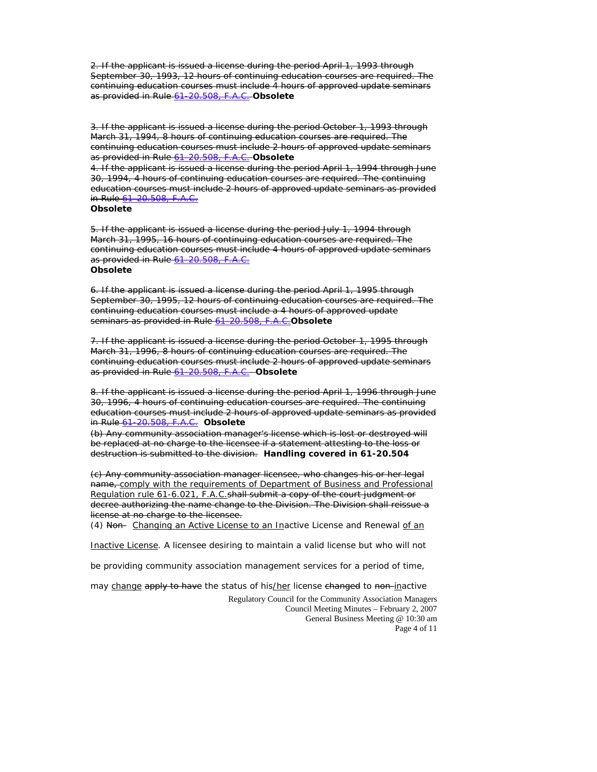2. If the applicant is issued a license during the period April 1, 1993 through September 30, 1993, 12 hours of continuing education courses are required. The continuing education courses must include 4 hours of approved update seminars as provided in Rule [61-20.508, F.A.C.](http://www.lexis.com/research/buttonTFLink?_m=c617d6b348dbc7e98109ff3573507101&_xfercite=%3ccite%20cc%3d%22USA%22%3e%3c%21%5bCDATA%5b61-20.002%2c%20F.A.C.%5d%5d%3e%3c%2fcite%3e&_butType=4&_butStat=0&_butNum=2&_butInline=1&_butinfo=FL%20ADMIN%2061-20.508&_fmtstr=FULL&docnum=1&_startdoc=1&wchp=dGLbVlz-zSkAz&_md5=f24589570f83c3779ff7c01b3d00040d) **Obsolete**

3. If the applicant is issued a license during the period October 1, 1993 through March 31, 1994, 8 hours of continuing education courses are required. The continuing education courses must include 2 hours of approved update seminars as provided in Rule [61-20.508, F.A.C.](http://www.lexis.com/research/buttonTFLink?_m=c617d6b348dbc7e98109ff3573507101&_xfercite=%3ccite%20cc%3d%22USA%22%3e%3c%21%5bCDATA%5b61-20.002%2c%20F.A.C.%5d%5d%3e%3c%2fcite%3e&_butType=4&_butStat=0&_butNum=3&_butInline=1&_butinfo=FL%20ADMIN%2061-20.508&_fmtstr=FULL&docnum=1&_startdoc=1&wchp=dGLbVlz-zSkAz&_md5=145cc4d15bf6872355a5b1c1790d591c) **Obsolete**

4. If the applicant is issued a license during the period April 1, 1994 through June 30, 1994, 4 hours of continuing education courses are required. The continuing education courses must include 2 hours of approved update seminars as provided in Rule [61-20.508, F.A.C.](http://www.lexis.com/research/buttonTFLink?_m=c617d6b348dbc7e98109ff3573507101&_xfercite=%3ccite%20cc%3d%22USA%22%3e%3c%21%5bCDATA%5b61-20.002%2c%20F.A.C.%5d%5d%3e%3c%2fcite%3e&_butType=4&_butStat=0&_butNum=4&_butInline=1&_butinfo=FL%20ADMIN%2061-20.508&_fmtstr=FULL&docnum=1&_startdoc=1&wchp=dGLbVlz-zSkAz&_md5=09ca68908195fc25ce8ade59707ab9fd)

**Obsolete**

5. If the applicant is issued a license during the period July 1, 1994 through March 31, 1995, 16 hours of continuing education courses are required. The continuing education courses must include 4 hours of approved update seminars as provided in Rule [61-20.508, F.A.C.](http://www.lexis.com/research/buttonTFLink?_m=c617d6b348dbc7e98109ff3573507101&_xfercite=%3ccite%20cc%3d%22USA%22%3e%3c%21%5bCDATA%5b61-20.002%2c%20F.A.C.%5d%5d%3e%3c%2fcite%3e&_butType=4&_butStat=0&_butNum=5&_butInline=1&_butinfo=FL%20ADMIN%2061-20.508&_fmtstr=FULL&docnum=1&_startdoc=1&wchp=dGLbVlz-zSkAz&_md5=3b84f5d9483c190de827634d39cf3dfd) **Obsolete**

6. If the applicant is issued a license during the period April 1, 1995 through September 30, 1995, 12 hours of continuing education courses are required. The continuing education courses must include a 4 hours of approved update seminars as provided in Rule [61-20.508, F.A.C.](http://www.lexis.com/research/buttonTFLink?_m=c617d6b348dbc7e98109ff3573507101&_xfercite=%3ccite%20cc%3d%22USA%22%3e%3c%21%5bCDATA%5b61-20.002%2c%20F.A.C.%5d%5d%3e%3c%2fcite%3e&_butType=4&_butStat=0&_butNum=6&_butInline=1&_butinfo=FL%20ADMIN%2061-20.508&_fmtstr=FULL&docnum=1&_startdoc=1&wchp=dGLbVlz-zSkAz&_md5=eb5abc5ffd8ebd19f179545814c00166)**Obsolete**

7. If the applicant is issued a license during the period October 1, 1995 through March 31, 1996, 8 hours of continuing education courses are required. The continuing education courses must include 2 hours of approved update seminars as provided in Rule [61-20.508, F.A.C.](http://www.lexis.com/research/buttonTFLink?_m=c617d6b348dbc7e98109ff3573507101&_xfercite=%3ccite%20cc%3d%22USA%22%3e%3c%21%5bCDATA%5b61-20.002%2c%20F.A.C.%5d%5d%3e%3c%2fcite%3e&_butType=4&_butStat=0&_butNum=7&_butInline=1&_butinfo=FL%20ADMIN%2061-20.508&_fmtstr=FULL&docnum=1&_startdoc=1&wchp=dGLbVlz-zSkAz&_md5=54b4d65073b2be57f5dd6197a75cfb94) **Obsolete**

8. If the applicant is issued a license during the period April 1, 1996 through June 30, 1996, 4 hours of continuing education courses are required. The continuing education courses must include 2 hours of approved update seminars as provided in Rule [61-20.508, F.A.C.](http://www.lexis.com/research/buttonTFLink?_m=c617d6b348dbc7e98109ff3573507101&_xfercite=%3ccite%20cc%3d%22USA%22%3e%3c%21%5bCDATA%5b61-20.002%2c%20F.A.C.%5d%5d%3e%3c%2fcite%3e&_butType=4&_butStat=0&_butNum=8&_butInline=1&_butinfo=FL%20ADMIN%2061-20.508&_fmtstr=FULL&docnum=1&_startdoc=1&wchp=dGLbVlz-zSkAz&_md5=41cb7880436ae1e1bcda2ce25d665c78) **Obsolete** 

(b) Any community association manager's license which is lost or destroyed will be replaced at no charge to the licensee if a statement attesting to the loss or destruction is submitted to the division. **Handling covered in 61-20.504** 

(c) Any community association manager licensee, who changes his or her legal name, comply with the requirements of Department of Business and Professional Regulation rule 61-6.021, F.A.C.shall submit a copy of the court judgment or decree authorizing the name change to the Division. The Division shall reissue a license at no charge to the licensee.

(4) Non- Changing an Active License to an Inactive License and Renewal of an

Inactive License. A licensee desiring to maintain a valid license but who will not

be providing community association management services for a period of time,

may change apply to have the status of his/her license changed to non-inactive

Regulatory Council for the Community Association Managers Council Meeting Minutes – February 2, 2007 General Business Meeting @ 10:30 am Page 4 of 11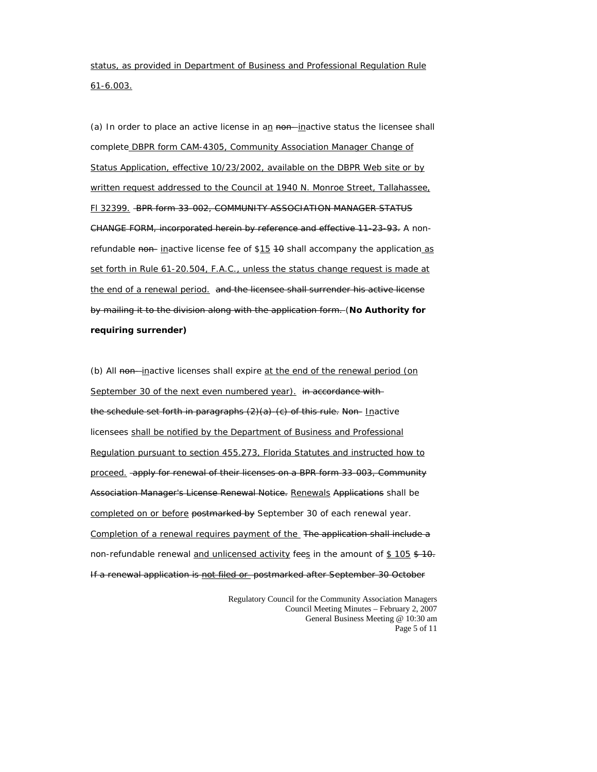status, as provided in Department of Business and Professional Regulation Rule 61-6.003.

(a) In order to place an active license in an  $non-$  inactive status the licensee shall complete DBPR form CAM-4305, Community Association Manager Change of Status Application, effective 10/23/2002, available on the DBPR Web site or by written request addressed to the Council at 1940 N. Monroe Street, Tallahassee, FI 32399. BPR form 33-002, COMMUNITY ASSOCIATION MANAGER STATUS CHANGE FORM, incorporated herein by reference and effective 11-23-93. A nonrefundable non- inactive license fee of  $$15$  40 shall accompany the application as set forth in Rule 61-20.504, F.A.C., unless the status change request is made at the end of a renewal period. and the licensee shall surrender his active license by mailing it to the division along with the application form. (**No Authority for requiring surrender)** 

(b) All non-inactive licenses shall expire at the end of the renewal period (on September 30 of the next even numbered year). in accordance withthe schedule set forth in paragraphs (2)(a)-(c) of this rule. Non- Inactive licensees shall be notified by the Department of Business and Professional Regulation pursuant to section 455.273, Florida Statutes and instructed how to proceed. apply for renewal of their licenses on a BPR form 33-003, Community Association Manager's License Renewal Notice. Renewals Applications shall be completed on or before postmarked by September 30 of each renewal year. Completion of a renewal requires payment of the The application shall include a non-refundable renewal and unlicensed activity fees in the amount of  $$105$   $$+0.6$ If a renewal application is not filed or postmarked after September 30 October

> Regulatory Council for the Community Association Managers Council Meeting Minutes – February 2, 2007 General Business Meeting @ 10:30 am Page 5 of 11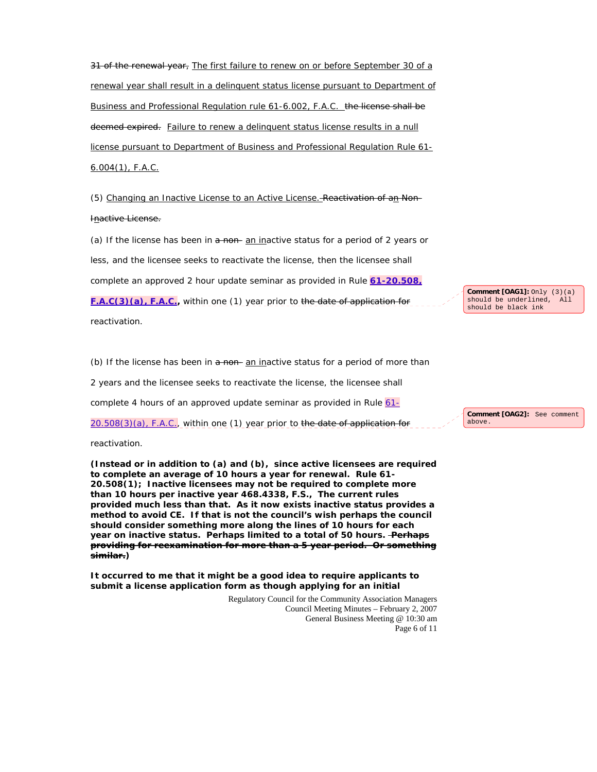31 of the renewal year, The first failure to renew on or before September 30 of a renewal year shall result in a delinquent status license pursuant to Department of Business and Professional Regulation rule 61-6.002, F.A.C. the license shall be deemed expired. Failure to renew a delinquent status license results in a null license pursuant to Department of Business and Professional Regulation Rule 61- 6.004(1), F.A.C.

(5) Changing an Inactive License to an Active License. Reactivation of an Non-

#### **Inactive License.**

(a) If the license has been in  $a$  non- an inactive status for a period of 2 years or less, and the licensee seeks to reactivate the license, then the licensee shall complete an approved 2 hour update seminar as provided in Rule **[61-20.508,](http://www.lexis.com/research/buttonTFLink?_m=c617d6b348dbc7e98109ff3573507101&_xfercite=%3ccite%20cc%3d%22USA%22%3e%3c%21%5bCDATA%5b61-20.002%2c%20F.A.C.%5d%5d%3e%3c%2fcite%3e&_butType=4&_butStat=0&_butNum=9&_butInline=1&_butinfo=FL%20ADMIN%2061-20.508&_fmtstr=FULL&docnum=1&_startdoc=1&wchp=dGLbVlz-zSkAz&_md5=04e9b32f029cdb8742204f89a7e82c50)  [F.A.C\(3\)\(a\), F.A.C.,](http://www.lexis.com/research/buttonTFLink?_m=c617d6b348dbc7e98109ff3573507101&_xfercite=%3ccite%20cc%3d%22USA%22%3e%3c%21%5bCDATA%5b61-20.002%2c%20F.A.C.%5d%5d%3e%3c%2fcite%3e&_butType=4&_butStat=0&_butNum=9&_butInline=1&_butinfo=FL%20ADMIN%2061-20.508&_fmtstr=FULL&docnum=1&_startdoc=1&wchp=dGLbVlz-zSkAz&_md5=04e9b32f029cdb8742204f89a7e82c50)** within one (1) year prior to the date of application for

reactivation.

(b) If the license has been in a non- an inactive status for a period of more than

2 years and the licensee seeks to reactivate the license, the licensee shall

complete 4 hours of an approved update seminar as provided in Rule  $61-$ 

[20.508\(3\)\(a\), F.A.C.,](http://www.lexis.com/research/buttonTFLink?_m=c617d6b348dbc7e98109ff3573507101&_xfercite=%3ccite%20cc%3d%22USA%22%3e%3c%21%5bCDATA%5b61-20.002%2c%20F.A.C.%5d%5d%3e%3c%2fcite%3e&_butType=4&_butStat=0&_butNum=10&_butInline=1&_butinfo=FL%20ADMIN%2061-20.508&_fmtstr=FULL&docnum=1&_startdoc=1&wchp=dGLbVlz-zSkAz&_md5=ca3753025dbed079256daa17b39b47c5) within one (1) year prior to the date of application for

#### reactivation.

**(Instead or in addition to (a) and (b), since active licensees are required to complete an average of 10 hours a year for renewal. Rule 61- 20.508(1); Inactive licensees may not be required to complete more than 10 hours per inactive year 468.4338, F.S., The current rules provided much less than that. As it now exists inactive status provides a method to avoid CE. If that is not the council's wish perhaps the council should consider something more along the lines of 10 hours for each year on inactive status. Perhaps limited to a total of 50 hours. Perhaps providing for reexamination for more than a 5 year period. Or something similar.)** 

**It occurred to me that it might be a good idea to require applicants to submit a license application form as though applying for an initial** 

> Regulatory Council for the Community Association Managers Council Meeting Minutes – February 2, 2007 General Business Meeting @ 10:30 am Page 6 of 11

**Comment [OAG1]:** Only (3)(a) should be underlined, All should be black ink

**Comment [OAG2]:** See comment above.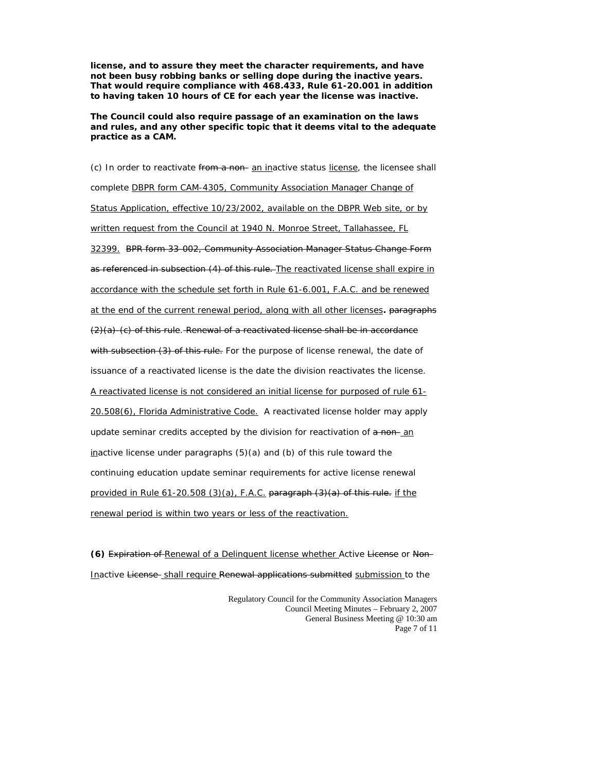**license, and to assure they meet the character requirements, and have not been busy robbing banks or selling dope during the inactive years. That would require compliance with 468.433, Rule 61-20.001 in addition to having taken 10 hours of CE for each year the license was inactive.** 

**The Council could also require passage of an examination on the laws and rules, and any other specific topic that it deems vital to the adequate practice as a CAM.** 

(c) In order to reactivate from a non- an inactive status license, the licensee shall complete DBPR form CAM-4305, Community Association Manager Change of Status Application, effective 10/23/2002, available on the DBPR Web site, or by written request from the Council at 1940 N. Monroe Street, Tallahassee, FL 32399. BPR form 33-002, Community Association Manager Status Change Form as referenced in subsection (4) of this rule. The reactivated license shall expire in accordance with the schedule set forth in Rule 61-6.001, F.A.C. and be renewed at the end of the current renewal period, along with all other licenses**.** paragraphs  $(2)(a)-(c)$  of this rule. Renewal of a reactivated license shall be in accordance with subsection (3) of this rule. For the purpose of license renewal, the date of issuance of a reactivated license is the date the division reactivates the license. A reactivated license is not considered an initial license for purposed of rule 61- 20.508(6), Florida Administrative Code. A reactivated license holder may apply update seminar credits accepted by the division for reactivation of  $a$  non- an inactive license under paragraphs  $(5)(a)$  and  $(b)$  of this rule toward the continuing education update seminar requirements for active license renewal provided in Rule 61-20.508 (3)(a), F.A.C. paragraph (3)(a) of this rule. if the renewal period is within two years or less of the reactivation.

**(6)** Expiration of Renewal of a Delinquent license whether Active License or Non-Inactive License-shall require Renewal applications submitted submission to the

> Regulatory Council for the Community Association Managers Council Meeting Minutes – February 2, 2007 General Business Meeting @ 10:30 am Page 7 of 11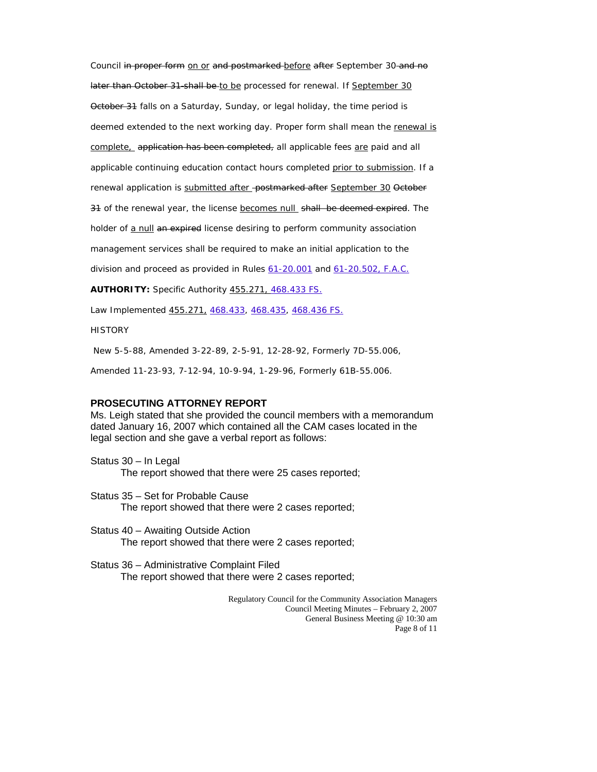Council in proper form on or and postmarked before after September 30 and no later than October 31-shall be to be processed for renewal. If September 30 October 31 falls on a Saturday, Sunday, or legal holiday, the time period is deemed extended to the next working day. Proper form shall mean the renewal is complete, application has been completed, all applicable fees are paid and all applicable continuing education contact hours completed prior to submission. If a renewal application is submitted after postmarked after September 30 October 31 of the renewal year, the license becomes null shall be deemed expired. The holder of a null an expired license desiring to perform community association management services shall be required to make an initial application to the division and proceed as provided in Rules  $61-20.001$  and  $61-20.502$ , F.A.C.

**AUTHORITY:** Specific Authority 455.271, [468.433 FS.](http://www.lexis.com/research/buttonTFLink?_m=c617d6b348dbc7e98109ff3573507101&_xfercite=%3ccite%20cc%3d%22USA%22%3e%3c%21%5bCDATA%5b61-20.002%2c%20F.A.C.%5d%5d%3e%3c%2fcite%3e&_butType=4&_butStat=0&_butNum=13&_butInline=1&_butinfo=FLCODE%20468.433&_fmtstr=FULL&docnum=1&_startdoc=1&wchp=dGLbVlz-zSkAz&_md5=6f3b7fdbdfbbdaf1ad43aa327eff5261) 

Law Implemented 455.271, [468.433](http://www.lexis.com/research/buttonTFLink?_m=c617d6b348dbc7e98109ff3573507101&_xfercite=%3ccite%20cc%3d%22USA%22%3e%3c%21%5bCDATA%5b61-20.002%2c%20F.A.C.%5d%5d%3e%3c%2fcite%3e&_butType=4&_butStat=0&_butNum=14&_butInline=1&_butinfo=FLCODE%20468.433&_fmtstr=FULL&docnum=1&_startdoc=1&wchp=dGLbVlz-zSkAz&_md5=5d5e47c0fc4f83210dfb8988252124c0), [468.435](http://www.lexis.com/research/buttonTFLink?_m=c617d6b348dbc7e98109ff3573507101&_xfercite=%3ccite%20cc%3d%22USA%22%3e%3c%21%5bCDATA%5b61-20.002%2c%20F.A.C.%5d%5d%3e%3c%2fcite%3e&_butType=4&_butStat=0&_butNum=15&_butInline=1&_butinfo=FLCODE%20468.435&_fmtstr=FULL&docnum=1&_startdoc=1&wchp=dGLbVlz-zSkAz&_md5=7baf74200ddd02ccc55a5908f804386a), [468.436 FS.](http://www.lexis.com/research/buttonTFLink?_m=c617d6b348dbc7e98109ff3573507101&_xfercite=%3ccite%20cc%3d%22USA%22%3e%3c%21%5bCDATA%5b61-20.002%2c%20F.A.C.%5d%5d%3e%3c%2fcite%3e&_butType=4&_butStat=0&_butNum=16&_butInline=1&_butinfo=FLCODE%20468.436&_fmtstr=FULL&docnum=1&_startdoc=1&wchp=dGLbVlz-zSkAz&_md5=b49732af033b01b0cfb2a6682406700f)

**HISTORY** 

New 5-5-88, Amended 3-22-89, 2-5-91, 12-28-92, Formerly 7D-55.006,

Amended 11-23-93, 7-12-94, 10-9-94, 1-29-96, Formerly 61B-55.006.

### **PROSECUTING ATTORNEY REPORT**

Ms. Leigh stated that she provided the council members with a memorandum dated January 16, 2007 which contained all the CAM cases located in the legal section and she gave a verbal report as follows:

- Status 30 In Legal The report showed that there were 25 cases reported;
- Status 35 Set for Probable Cause The report showed that there were 2 cases reported;
- Status 40 Awaiting Outside Action The report showed that there were 2 cases reported;
- Status 36 Administrative Complaint Filed The report showed that there were 2 cases reported;

Regulatory Council for the Community Association Managers Council Meeting Minutes – February 2, 2007 General Business Meeting @ 10:30 am Page 8 of 11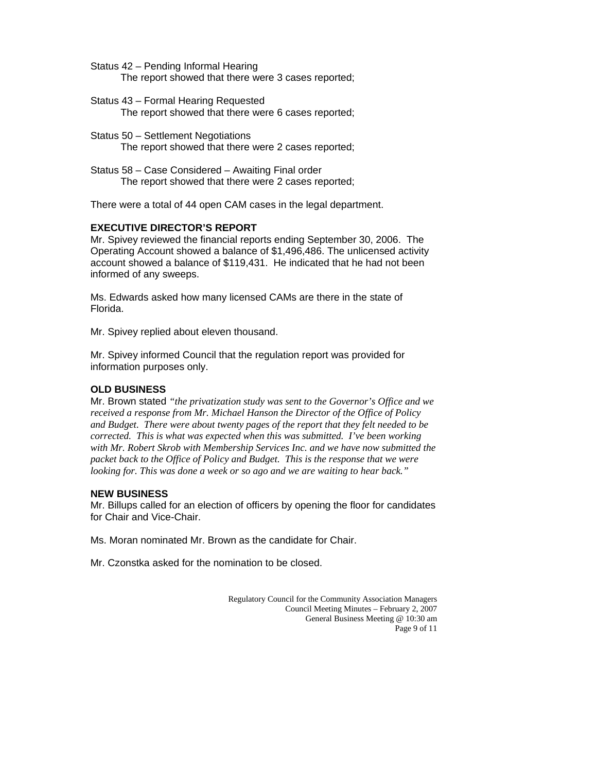- Status 42 Pending Informal Hearing The report showed that there were 3 cases reported;
- Status 43 Formal Hearing Requested The report showed that there were 6 cases reported;
- Status 50 Settlement Negotiations The report showed that there were 2 cases reported;
- Status 58 Case Considered Awaiting Final order The report showed that there were 2 cases reported;

There were a total of 44 open CAM cases in the legal department.

## **EXECUTIVE DIRECTOR'S REPORT**

Mr. Spivey reviewed the financial reports ending September 30, 2006. The Operating Account showed a balance of \$1,496,486. The unlicensed activity account showed a balance of \$119,431. He indicated that he had not been informed of any sweeps.

Ms. Edwards asked how many licensed CAMs are there in the state of Florida.

Mr. Spivey replied about eleven thousand.

Mr. Spivey informed Council that the regulation report was provided for information purposes only.

# **OLD BUSINESS**

Mr. Brown stated *"the privatization study was sent to the Governor's Office and we received a response from Mr. Michael Hanson the Director of the Office of Policy and Budget. There were about twenty pages of the report that they felt needed to be corrected. This is what was expected when this was submitted. I've been working with Mr. Robert Skrob with Membership Services Inc. and we have now submitted the packet back to the Office of Policy and Budget. This is the response that we were looking for. This was done a week or so ago and we are waiting to hear back."*

## **NEW BUSINESS**

Mr. Billups called for an election of officers by opening the floor for candidates for Chair and Vice-Chair.

Ms. Moran nominated Mr. Brown as the candidate for Chair.

Mr. Czonstka asked for the nomination to be closed.

Regulatory Council for the Community Association Managers Council Meeting Minutes – February 2, 2007 General Business Meeting @ 10:30 am Page 9 of 11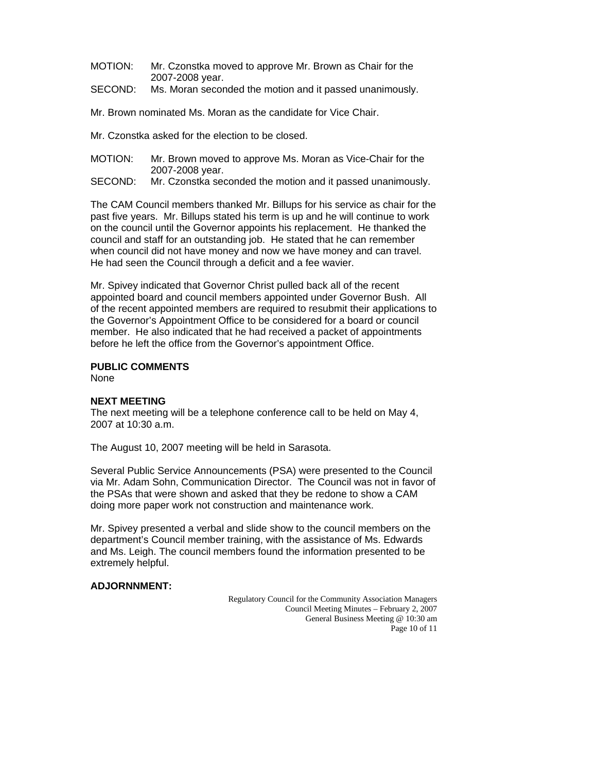- MOTION: Mr. Czonstka moved to approve Mr. Brown as Chair for the 2007-2008 year.
- SECOND: Ms. Moran seconded the motion and it passed unanimously.

Mr. Brown nominated Ms. Moran as the candidate for Vice Chair.

Mr. Czonstka asked for the election to be closed.

- MOTION: Mr. Brown moved to approve Ms. Moran as Vice-Chair for the 2007-2008 year.
- SECOND: Mr. Czonstka seconded the motion and it passed unanimously.

The CAM Council members thanked Mr. Billups for his service as chair for the past five years. Mr. Billups stated his term is up and he will continue to work on the council until the Governor appoints his replacement. He thanked the council and staff for an outstanding job. He stated that he can remember when council did not have money and now we have money and can travel. He had seen the Council through a deficit and a fee wavier.

Mr. Spivey indicated that Governor Christ pulled back all of the recent appointed board and council members appointed under Governor Bush. All of the recent appointed members are required to resubmit their applications to the Governor's Appointment Office to be considered for a board or council member. He also indicated that he had received a packet of appointments before he left the office from the Governor's appointment Office.

# **PUBLIC COMMENTS**

None

## **NEXT MEETING**

The next meeting will be a telephone conference call to be held on May 4, 2007 at 10:30 a.m.

The August 10, 2007 meeting will be held in Sarasota.

Several Public Service Announcements (PSA) were presented to the Council via Mr. Adam Sohn, Communication Director. The Council was not in favor of the PSAs that were shown and asked that they be redone to show a CAM doing more paper work not construction and maintenance work.

Mr. Spivey presented a verbal and slide show to the council members on the department's Council member training, with the assistance of Ms. Edwards and Ms. Leigh. The council members found the information presented to be extremely helpful.

# **ADJORNNMENT:**

Regulatory Council for the Community Association Managers Council Meeting Minutes – February 2, 2007 General Business Meeting @ 10:30 am Page 10 of 11